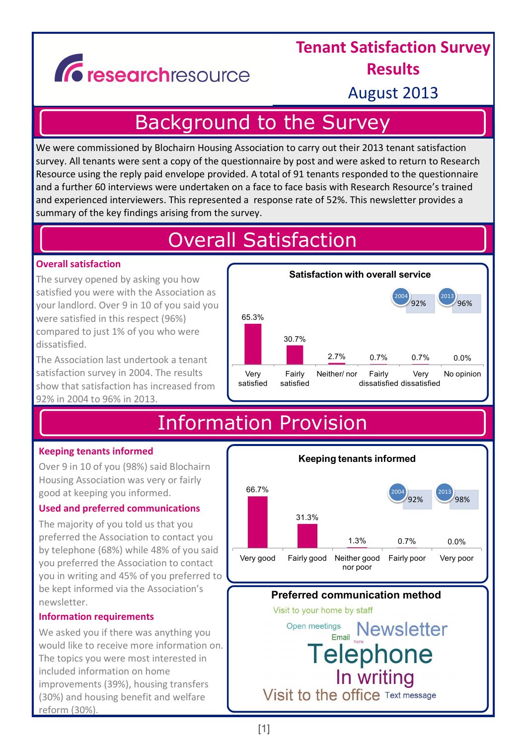# Gresearchresource

### **Tenant Satisfaction Survey Results**

August 2013

## Background to the Survey

We were commissioned by Blochairn Housing Association to carry out their 2013 tenant satisfaction survey. All tenants were sent a copy of the questionnaire by post and were asked to return to Research Resource using the reply paid envelope provided. A total of 91 tenants responded to the questionnaire and a further 60 interviews were undertaken on a face to face basis with Research Resource's trained and experienced interviewers. This represented a response rate of 52%. This newsletter provides a summary of the key findings arising from the survey.

## Overall Satisfaction

### **Overall satisfaction**

The survey opened by asking you how satisfied you were with the Association as your landlord. Over 9 in 10 of you said you were satisfied in this respect (96%) compared to just 1% of you who were dissatisfied.

The Association last undertook a tenant satisfaction survey in 2004. The results show that satisfaction has increased from 92% in 2004 to 96% in 2013.



# Information Provision

### **Keeping tenants informed**

Over 9 in 10 of you (98%) said Blochairn Housing Association was very or fairly good at keeping you informed.

### **Used and preferred communications**

The majority of you told us that you preferred the Association to contact you by telephone (68%) while 48% of you said you preferred the Association to contact you in writing and 45% of you preferred to be kept informed via the Association's newsletter.

### **Information requirements**

We asked you if there was anything you would like to receive more information on. The topics you were most interested in included information on home improvements (39%), housing transfers (30%) and housing benefit and welfare reform (30%).

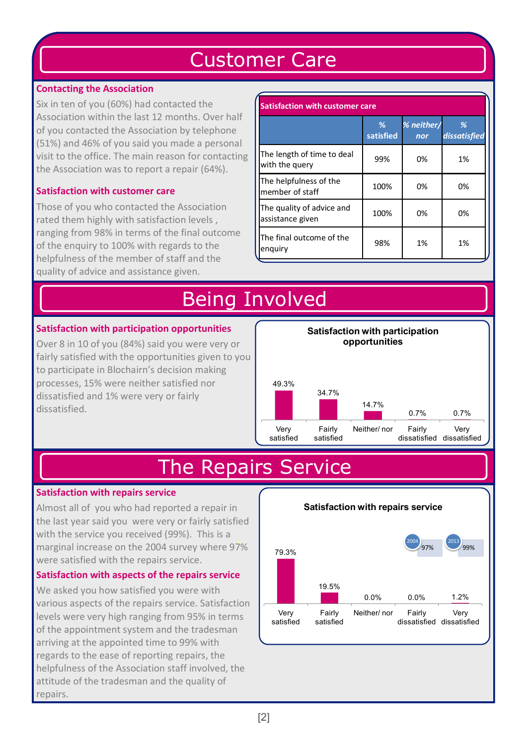# Customer Care

### **Contacting the Association**

Six in ten of you (60%) had contacted the Association within the last 12 months. Over half of you contacted the Association by telephone (51%) and 46% of you said you made a personal visit to the office. The main reason for contacting the Association was to report a repair (64%).

### **Satisfaction with customer care**

Those of you who contacted the Association rated them highly with satisfaction levels , ranging from 98% in terms of the final outcome of the enquiry to 100% with regards to the helpfulness of the member of staff and the quality of advice and assistance given.

| <b>Satisfaction with customer care</b>        |                |                   |                   |  |
|-----------------------------------------------|----------------|-------------------|-------------------|--|
|                                               | ℅<br>satisfied | % neither/<br>nor | %<br>dissatisfied |  |
| The length of time to deal<br>with the query  | 99%            | 0%                | 1%                |  |
| The helpfulness of the<br>member of staff     | 100%           | 0%                | 0%                |  |
| The quality of advice and<br>assistance given | 100%           | 0%                | 0%                |  |
| The final outcome of the<br>enguiry           | 98%            | 1%                | 1%                |  |

# Being Involved

### **Satisfaction with participation opportunities**

Over 8 in 10 of you (84%) said you were very or fairly satisfied with the opportunities given to you to participate in Blochairn's decision making processes, 15% were neither satisfied nor dissatisfied and 1% were very or fairly dissatisfied.



## The Repairs Service

### **Satisfaction with repairs service**

Almost all of you who had reported a repair in the last year said you were very or fairly satisfied with the service you received (99%). This is a marginal increase on the 2004 survey where 97% were satisfied with the repairs service.

### **Satisfaction with aspects of the repairs service**

We asked you how satisfied you were with various aspects of the repairs service. Satisfaction levels were very high ranging from 95% in terms of the appointment system and the tradesman arriving at the appointed time to 99% with regards to the ease of reporting repairs, the helpfulness of the Association staff involved, the attitude of the tradesman and the quality of repairs.

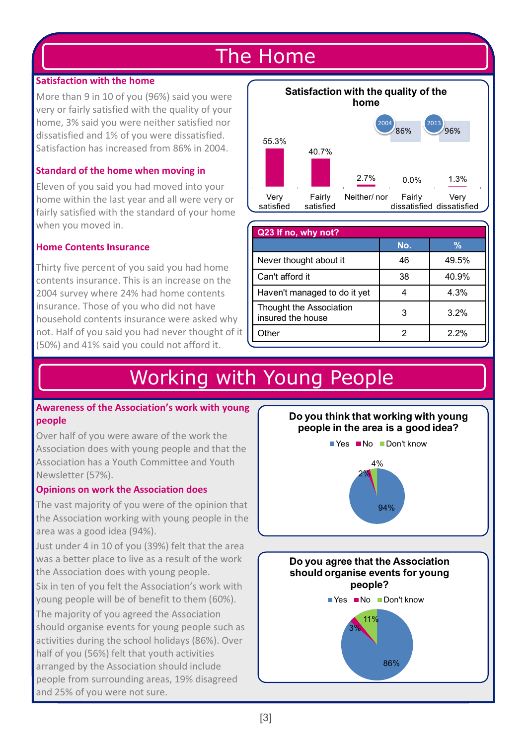### The Home

#### **Satisfaction with the home**

More than 9 in 10 of you (96%) said you were very or fairly satisfied with the quality of your home, 3% said you were neither satisfied nor dissatisfied and 1% of you were dissatisfied. Satisfaction has increased from 86% in 2004.

### **Standard of the home when moving in**

Eleven of you said you had moved into your home within the last year and all were very or fairly satisfied with the standard of your home when you moved in.

### **Home Contents Insurance**

Thirty five percent of you said you had home contents insurance. This is an increase on the 2004 survey where 24% had home contents insurance. Those of you who did not have household contents insurance were asked why not. Half of you said you had never thought of it (50%) and 41% said you could not afford it.



| Q23 If no, why not?                          |     |               |  |  |
|----------------------------------------------|-----|---------------|--|--|
|                                              | No. | $\frac{9}{6}$ |  |  |
| Never thought about it                       | 46  | 49.5%         |  |  |
| Can't afford it                              | 38  | 40.9%         |  |  |
| Haven't managed to do it yet                 |     | 4.3%          |  |  |
| Thought the Association<br>insured the house | 3   | 3.2%          |  |  |
| Other                                        | 2   | 2.2%          |  |  |

### Working with Young People

#### **Awareness of the Association's work with young people**

Over half of you were aware of the work the Association does with young people and that the Association has a Youth Committee and Youth Newsletter (57%).

#### **Opinions on work the Association does**

The vast majority of you were of the opinion that the Association working with young people in the area was a good idea (94%).

Just under 4 in 10 of you (39%) felt that the area was a better place to live as a result of the work the Association does with young people.

Six in ten of you felt the Association's work with young people will be of benefit to them (60%).

The majority of you agreed the Association should organise events for young people such as activities during the school holidays (86%). Over half of you (56%) felt that youth activities arranged by the Association should include people from surrounding areas, 19% disagreed and 25% of you were not sure.